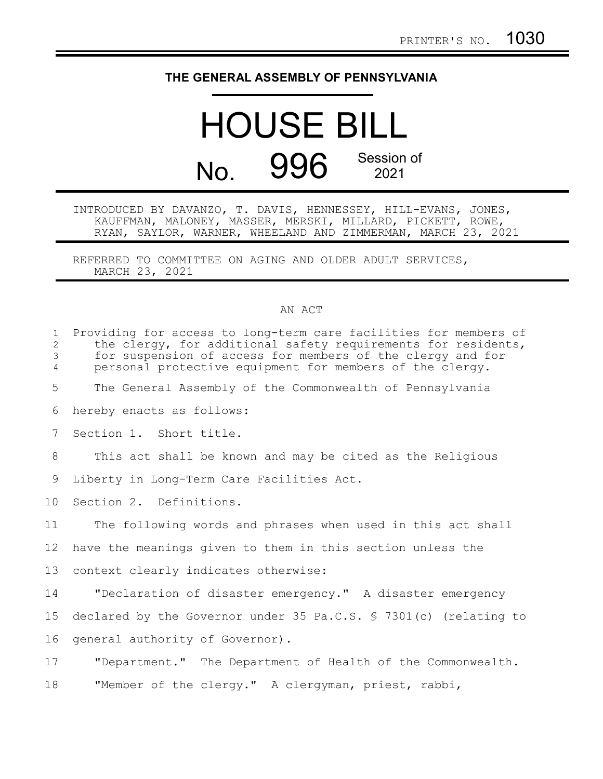## **THE GENERAL ASSEMBLY OF PENNSYLVANIA**

## HOUSE BILL No. 996 Session of 2021

INTRODUCED BY DAVANZO, T. DAVIS, HENNESSEY, HILL-EVANS, JONES, KAUFFMAN, MALONEY, MASSER, MERSKI, MILLARD, PICKETT, ROWE, RYAN, SAYLOR, WARNER, WHEELAND AND ZIMMERMAN, MARCH 23, 2021

REFERRED TO COMMITTEE ON AGING AND OLDER ADULT SERVICES, MARCH 23, 2021

## AN ACT

| $\mathbf{1}$<br>$\mathbf{2}$<br>3<br>$\overline{4}$ | Providing for access to long-term care facilities for members of<br>the clergy, for additional safety requirements for residents,<br>for suspension of access for members of the clergy and for<br>personal protective equipment for members of the clergy. |
|-----------------------------------------------------|-------------------------------------------------------------------------------------------------------------------------------------------------------------------------------------------------------------------------------------------------------------|
| 5                                                   | The General Assembly of the Commonwealth of Pennsylvania                                                                                                                                                                                                    |
| 6                                                   | hereby enacts as follows:                                                                                                                                                                                                                                   |
| $7\phantom{.0}$                                     | Section 1. Short title.                                                                                                                                                                                                                                     |
| 8                                                   | This act shall be known and may be cited as the Religious                                                                                                                                                                                                   |
| 9                                                   | Liberty in Long-Term Care Facilities Act.                                                                                                                                                                                                                   |
| 10 <sup>°</sup>                                     | Section 2. Definitions.                                                                                                                                                                                                                                     |
| 11                                                  | The following words and phrases when used in this act shall                                                                                                                                                                                                 |
| 12                                                  | have the meanings given to them in this section unless the                                                                                                                                                                                                  |
| 13                                                  | context clearly indicates otherwise:                                                                                                                                                                                                                        |
| 14                                                  | "Declaration of disaster emergency." A disaster emergency                                                                                                                                                                                                   |
| 15                                                  | declared by the Governor under 35 Pa.C.S. § 7301(c) (relating to                                                                                                                                                                                            |
| 16                                                  | general authority of Governor).                                                                                                                                                                                                                             |
| 17                                                  | "Department." The Department of Health of the Commonwealth.                                                                                                                                                                                                 |
| 18                                                  | "Member of the clergy." A clergyman, priest, rabbi,                                                                                                                                                                                                         |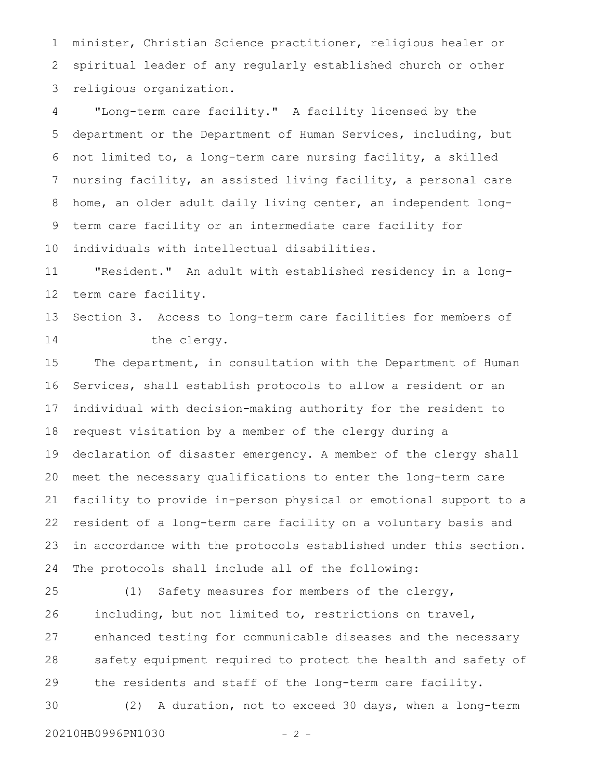minister, Christian Science practitioner, religious healer or spiritual leader of any regularly established church or other religious organization. 1 2 3

"Long-term care facility." A facility licensed by the department or the Department of Human Services, including, but not limited to, a long-term care nursing facility, a skilled nursing facility, an assisted living facility, a personal care home, an older adult daily living center, an independent longterm care facility or an intermediate care facility for individuals with intellectual disabilities. 4 5 6 7 8 9 10

"Resident." An adult with established residency in a longterm care facility. 11 12

Section 3. Access to long-term care facilities for members of the clergy. 13 14

The department, in consultation with the Department of Human Services, shall establish protocols to allow a resident or an individual with decision-making authority for the resident to request visitation by a member of the clergy during a declaration of disaster emergency. A member of the clergy shall meet the necessary qualifications to enter the long-term care facility to provide in-person physical or emotional support to a resident of a long-term care facility on a voluntary basis and in accordance with the protocols established under this section. The protocols shall include all of the following: 15 16 17 18 19 20 21 22 23 24

(1) Safety measures for members of the clergy, including, but not limited to, restrictions on travel, enhanced testing for communicable diseases and the necessary safety equipment required to protect the health and safety of the residents and staff of the long-term care facility. 25 26 27 28 29

(2) A duration, not to exceed 30 days, when a long-term 30

20210HB0996PN1030 - 2 -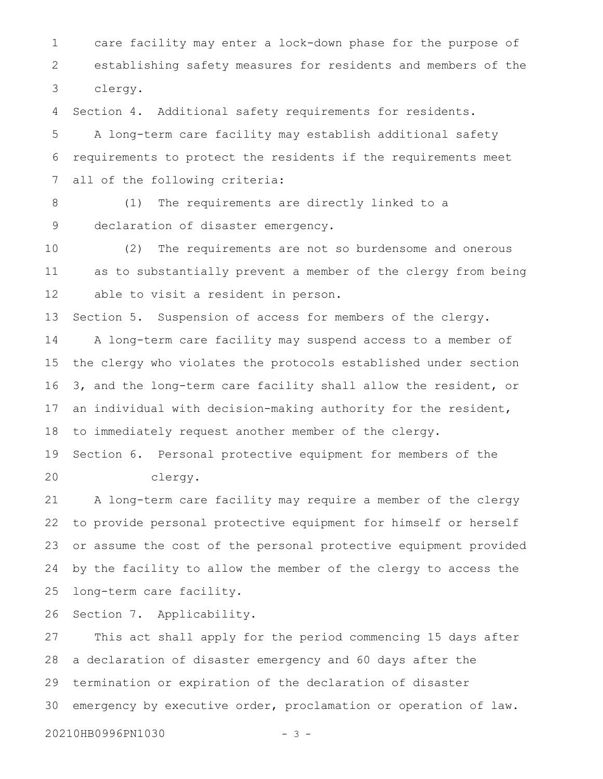care facility may enter a lock-down phase for the purpose of establishing safety measures for residents and members of the clergy. 1 2 3

Section 4. Additional safety requirements for residents. 4

A long-term care facility may establish additional safety requirements to protect the residents if the requirements meet all of the following criteria: 5 6 7

(1) The requirements are directly linked to a declaration of disaster emergency. 8 9

(2) The requirements are not so burdensome and onerous as to substantially prevent a member of the clergy from being able to visit a resident in person. 10 11 12

Section 5. Suspension of access for members of the clergy. 13

A long-term care facility may suspend access to a member of the clergy who violates the protocols established under section 3, and the long-term care facility shall allow the resident, or an individual with decision-making authority for the resident, to immediately request another member of the clergy. 14 15 16 17 18

Section 6. Personal protective equipment for members of the clergy. 19 20

A long-term care facility may require a member of the clergy to provide personal protective equipment for himself or herself or assume the cost of the personal protective equipment provided by the facility to allow the member of the clergy to access the long-term care facility. 21 22 23 24 25

Section 7. Applicability. 26

This act shall apply for the period commencing 15 days after a declaration of disaster emergency and 60 days after the termination or expiration of the declaration of disaster emergency by executive order, proclamation or operation of law. 27 28 29 30

20210HB0996PN1030 - 3 -